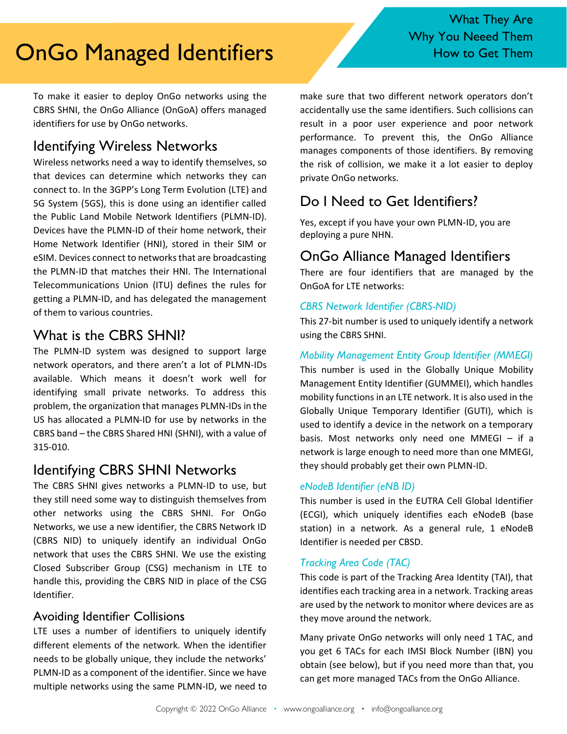# OnGo Managed Identifiers Them How to Get Them

To make it easier to deploy OnGo networks using the CBRS SHNI, the OnGo Alliance (OnGoA) offers managed identifiers for use by OnGo networks.

## Identifying Wireless Networks

Wireless networks need a way to identify themselves, so that devices can determine which networks they can connect to. In the 3GPP's Long Term Evolution (LTE) and 5G System (5GS), this is done using an identifier called the Public Land Mobile Network Identifiers (PLMN-ID). Devices have the PLMN-ID of their home network, their Home Network Identifier (HNI), stored in their SIM or eSIM. Devices connect to networks that are broadcasting the PLMN-ID that matches their HNI. The International Telecommunications Union (ITU) defines the rules for getting a PLMN-ID, and has delegated the management of them to various countries.

## What is the CBRS SHNI?

The PLMN-ID system was designed to support large network operators, and there aren't a lot of PLMN-IDs available. Which means it doesn't work well for identifying small private networks. To address this problem, the organization that manages PLMN-IDs in the US has allocated a PLMN-ID for use by networks in the CBRS band – the CBRS Shared HNI (SHNI), with a value of 315-010.

## Identifying CBRS SHNI Networks

The CBRS SHNI gives networks a PLMN-ID to use, but they still need some way to distinguish themselves from other networks using the CBRS SHNI. For OnGo Networks, we use a new identifier, the CBRS Network ID (CBRS NID) to uniquely identify an individual OnGo network that uses the CBRS SHNI. We use the existing Closed Subscriber Group (CSG) mechanism in LTE to handle this, providing the CBRS NID in place of the CSG Identifier.

### Avoiding Identifier Collisions

LTE uses a number of identifiers to uniquely identify different elements of the network. When the identifier needs to be globally unique, they include the networks' PLMN-ID as a component of the identifier. Since we have multiple networks using the same PLMN-ID, we need to make sure that two different network operators don't accidentally use the same identifiers. Such collisions can result in a poor user experience and poor network performance. To prevent this, the OnGo Alliance manages components of those identifiers. By removing the risk of collision, we make it a lot easier to deploy private OnGo networks.

## Do I Need to Get Identifiers?

Yes, except if you have your own PLMN-ID, you are deploying a pure NHN.

## OnGo Alliance Managed Identifiers

There are four identifiers that are managed by the OnGoA for LTE networks:

#### *CBRS Network Identifier (CBRS-NID)*

This 27-bit number is used to uniquely identify a network using the CBRS SHNI.

#### *Mobility Management Entity Group Identifier (MMEGI)*

This number is used in the Globally Unique Mobility Management Entity Identifier (GUMMEI), which handles mobility functions in an LTE network. It is also used in the Globally Unique Temporary Identifier (GUTI), which is used to identify a device in the network on a temporary basis. Most networks only need one MMEGI – if a network is large enough to need more than one MMEGI, they should probably get their own PLMN-ID.

#### *eNodeB Identifier (eNB ID)*

This number is used in the EUTRA Cell Global Identifier (ECGI), which uniquely identifies each eNodeB (base station) in a network. As a general rule, 1 eNodeB Identifier is needed per CBSD.

#### *Tracking Area Code (TAC)*

This code is part of the Tracking Area Identity (TAI), that identifies each tracking area in a network. Tracking areas are used by the network to monitor where devices are as they move around the network.

Many private OnGo networks will only need 1 TAC, and you get 6 TACs for each IMSI Block Number (IBN) you obtain (see below), but if you need more than that, you can get more managed TACs from the OnGo Alliance.